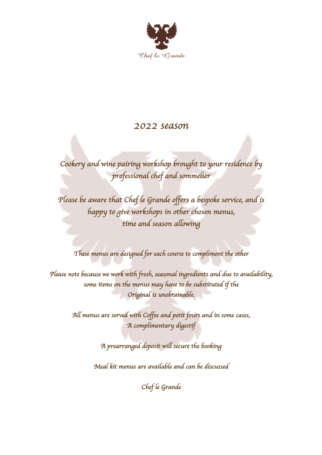

## *2022 season*

*Cookery and wine pairing workshop brought to your residence by professional chef and sommelier* 

*Please be aware that Chef le Grande offers a bespoke service, and is happy to give workshops in other chosen menus, time and season allowing* 

*These menus are designed for each course to compliment the other* 

*Please note because we work with fresh, seasonal ingredients and due to availability, some items on the menus may have to be substituted if the Original is unobtainable.* 

> *All menus are served with Coffee and petit fours and in some cases, A complimentary digestif*

> > *A prearranged deposit will secure the booking*

*Meal kit menus are available and can be discussed* 

*Chef le Grande*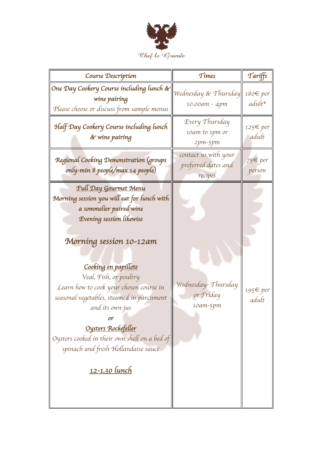

| Course Description                                                                                                                                                                                                                                                                                                                                                                                                                                               | $T$ <i>imes</i>                                        | Tariffs            |
|------------------------------------------------------------------------------------------------------------------------------------------------------------------------------------------------------------------------------------------------------------------------------------------------------------------------------------------------------------------------------------------------------------------------------------------------------------------|--------------------------------------------------------|--------------------|
| One Day Cookery Course including lunch &<br>wine pairing<br>Please choose or discuss from sample menus                                                                                                                                                                                                                                                                                                                                                           | Wednesday & Thursday<br>10.00am - 4pm                  | 180€ per<br>adult* |
| Half Day Cookery Course including lunch<br>& wine pairing                                                                                                                                                                                                                                                                                                                                                                                                        | Every Thursday<br>10am to 1pm or<br>2pm-5pm            | 125€ per<br>adult  |
| Regional Cooking Demonstration (groups<br>only-min 8 people/max 14 people)                                                                                                                                                                                                                                                                                                                                                                                       | contact us with your<br>preferred dates and<br>recipes | 75€ per<br>person  |
| <b>Full Day Gourmet Menu</b><br>Morning session you will eat for lunch with<br>a sommelier paired wine<br>Evening session likewise<br>Morning session 10-12am<br>Cooking en papillote<br>Veal, Fish, or poultry<br>Learn how to cook your chosen course in<br>seasonal vegetables, steamed in parchment<br>and its own jus<br>or<br>Oysters Rockefeller<br>Oysters cooked in their own shell on a bed of<br>spinach and fresh Hollandaise sauce<br>12-1.30 lunch | Wednesday-Thursday<br>or Friday<br>10am-5pm            | 195€ per<br>adult  |